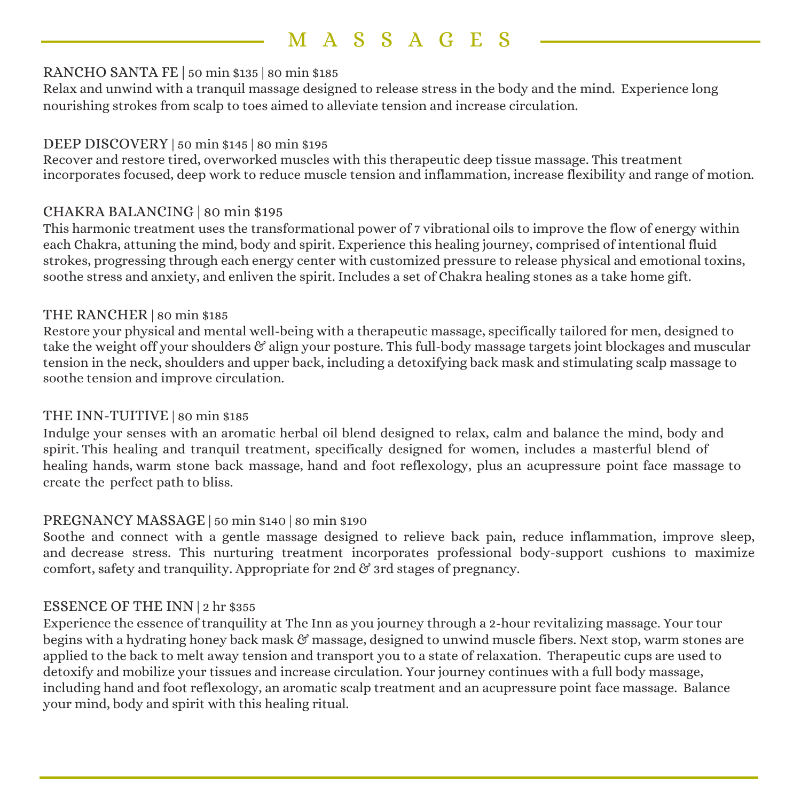# M A SSAG E S

#### RANCHO SANTA FE | 50 min \$135 | 80 min \$185

Relax and unwind with a tranquil massage designed to release stress in the body and the mind. Experience long nourishing strokes from scalp to toes aimed to alleviate tension and increase circulation.

#### DEEP DISCOVERY | 50 min \$145 | 80 min \$195

Recover and restore tired, overworked muscles with this therapeutic deep tissue massage. This treatment incorporates focused, deep work to reduce muscle tension and inflammation, increase flexibility and range of motion.

#### CHAKRA BALANCING | 80 min \$195

This harmonic treatment uses the transformational power of 7 vibrational oils to improve the flow of energy within each Chakra, attuning the mind, body and spirit. Experience this healing journey, comprised of intentional fluid strokes, progressing through each energy center with customized pressure to release physical and emotional toxins, soothe stress and anxiety, and enliven the spirit. Includes a set of Chakra healing stones as a take home gift.

#### THE RANCHER | 80 min \$185

Restore your physical and mental well-being with a therapeutic massage, specifically tailored for men, designed to take the weight off your shoulders & align your posture. This full-body massage targets joint blockages and muscular tension in the neck, shoulders and upper back, including a detoxifying back mask and stimulating scalp massage to soothe tension and improve circulation.

#### THE INN-TUITIVE | 80 min \$185

Indulge your senses with an aromatic herbal oil blend designed to relax, calm and balance the mind, body and spirit. This healing and tranquil treatment, specifically designed for women, includes a masterful blend of healing hands, warm stone back massage, hand and foot reflexology, plus an acupressure point face massage to create the perfect path to bliss.

#### PREGNANCY MASSAGE | 50 min \$140 | 80 min \$190

Soothe and connect with a gentle massage designed to relieve back pain, reduce inflammation, improve sleep, and decrease stress. This nurturing treatment incorporates professional body-support cushions to maximize comfort, safety and tranquility. Appropriate for 2nd  $\mathfrak{G}$  3rd stages of pregnancy.

## ESSENCE OF THE INN | 2 hr \$355

Experience the essence of tranquility at The Inn as you journey through a 2-hour revitalizing massage. Your tour begins with a hydrating honey back mask & massage, designed to unwind muscle fibers. Next stop, warm stones are applied to the back to melt away tension and transport you to a state of relaxation. Therapeutic cups are used to detoxify and mobilize your tissues and increase circulation. Your journey continues with a full body massage, including hand and foot reflexology, an aromatic scalp treatment and an acupressure point face massage. Balance your mind, body and spirit with this healing ritual.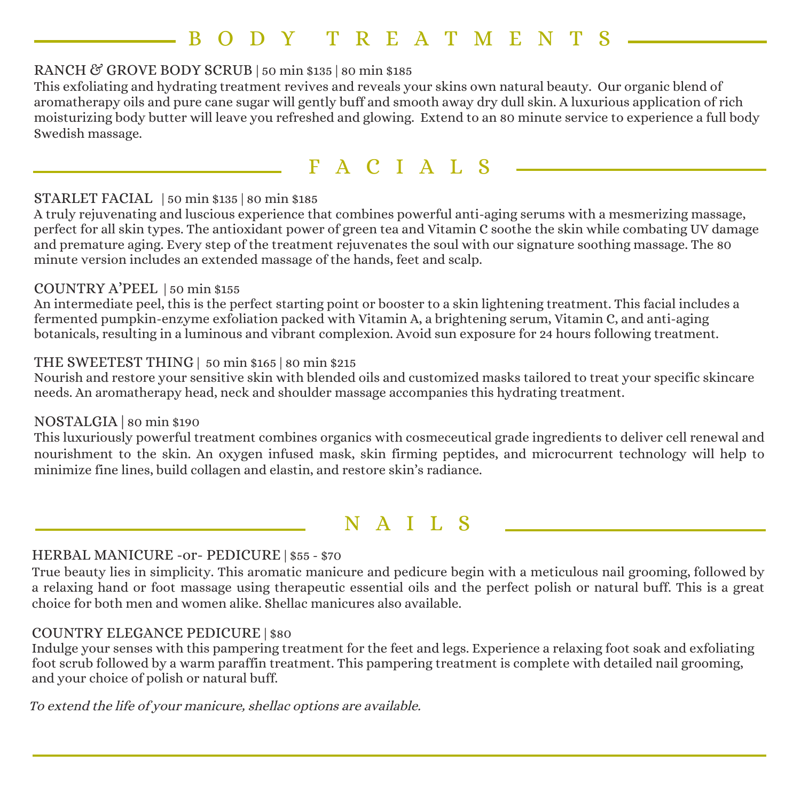# B ODY TREATME N T S

## RANCH & GROVE BODY SCRUB | 50 min \$135 | 80 min \$185

This exfoliating and hydrating treatment revives and reveals your skins own natural beauty. Our organic blend of aromatherapy oils and pure cane sugar will gently buff and smooth away dry dull skin. A luxurious application of rich moisturizing body butter will leave you refreshed and glowing. Extend to an 80 minute service to experience a full body Swedish massage.

## FACIALS

#### STARLET FACIAL | 50 min \$135 | 80 min \$185

A truly rejuvenating and luscious experience that combines powerful anti-aging serums with a mesmerizing massage, perfect for all skin types. The antioxidant power of green tea and Vitamin C soothe the skin while combating UV damage and premature aging. Every step of the treatment rejuvenates the soul with our signature soothing massage. The 80 minute version includes an extended massage of the hands, feet and scalp.

#### COUNTRY A'PEEL | 50 min \$155

An intermediate peel, this is the perfect starting point or booster to a skin lightening treatment. This facial includes a fermented pumpkin-enzyme exfoliation packed with Vitamin A, a brightening serum, Vitamin C, and anti-aging botanicals, resulting in a luminous and vibrant complexion. Avoid sun exposure for 24 hours following treatment.

#### THE SWEETEST THING | 50 min \$165 | 80 min \$215

Nourish and restore your sensitive skin with blended oils and customized masks tailored to treat your specific skincare needs. An aromatherapy head, neck and shoulder massage accompanies this hydrating treatment.

#### NOSTALGIA | 80 min \$190

This luxuriously powerful treatment combines organics with cosmeceutical grade ingredients to deliver cell renewal and nourishment to the skin. An oxygen infused mask, skin firming peptides, and microcurrent technology will help to minimize fine lines, build collagen and elastin, and restore skin's radiance.

## N A I I.S

## HERBAL MANICURE -or- PEDICURE | \$55 - \$70

True beauty lies in simplicity. This aromatic manicure and pedicure begin with a meticulous nail grooming, followed by a relaxing hand or foot massage using therapeutic essential oils and the perfect polish or natural buff. This is a great choice for both men and women alike. Shellac manicures also available.

#### COUNTRY ELEGANCE PEDICURE | \$80

Indulge your senses with this pampering treatment for the feet and legs. Experience a relaxing foot soak and exfoliating foot scrub followed by a warm paraffin treatment. This pampering treatment is complete with detailed nail grooming, and your choice of polish or natural buff.

To extend the life of your manicure, shellac options are available.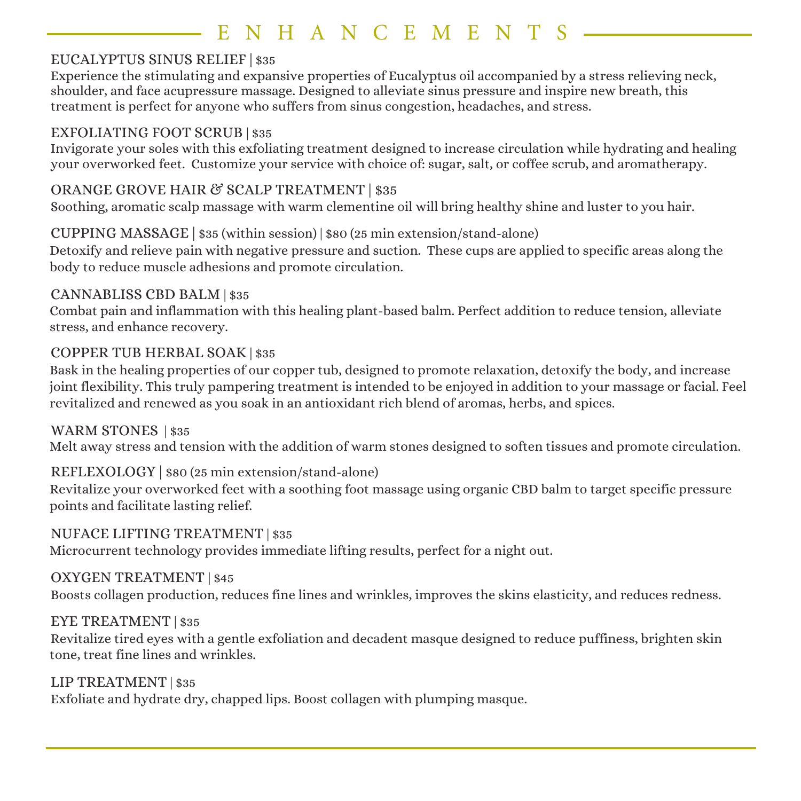# NHANCEMENT

## EUCALYPTUS SINUS RELIEF | \$35

Experience the stimulating and expansive properties of Eucalyptus oil accompanied by a stress relieving neck, shoulder, and face acupressure massage. Designed to alleviate sinus pressure and inspire new breath, this treatment is perfect for anyone who suffers from sinus congestion, headaches, and stress.

#### EXFOLIATING FOOT SCRUB | \$35

Invigorate your soles with this exfoliating treatment designed to increase circulation while hydrating and healing your overworked feet. Customize your service with choice of: sugar, salt, or coffee scrub, and aromatherapy.

## ORANGE GROVE HAIR & SCALP TREATMENT | \$35

Soothing, aromatic scalp massage with warm clementine oil will bring healthy shine and luster to you hair.

## CUPPING MASSAGE | \$35 (within session) | \$80 (25 min extension/stand-alone)

Detoxify and relieve pain with negative pressure and suction. These cups are applied to specific areas along the body to reduce muscle adhesions and promote circulation.

## CANNABLISS CBD BALM | \$35

Combat pain and inflammation with this healing plant-based balm. Perfect addition to reduce tension, alleviate stress, and enhance recovery.

## COPPER TUB HERBAL SOAK | \$35

Bask in the healing properties of our copper tub, designed to promote relaxation, detoxify the body, and increase joint flexibility. This truly pampering treatment is intended to be enjoyed in addition to your massage or facial. Feel revitalized and renewed as you soak in an antioxidant rich blend of aromas, herbs, and spices.

## WARM STONES | \$35

Melt away stress and tension with the addition of warm stones designed to soften tissues and promote circulation.

## REFLEXOLOGY | \$80 (25 min extension/stand-alone)

Revitalize your overworked feet with a soothing foot massage using organic CBD balm to target specific pressure points and facilitate lasting relief.

## NUFACE LIFTING TREATMENT | \$35

Microcurrent technology provides immediate lifting results, perfect for a night out.

## OXYGEN TREATMENT | \$45

Boosts collagen production, reduces fine lines and wrinkles, improves the skins elasticity, and reduces redness.

## EYE TREATMENT | \$35

Revitalize tired eyes with a gentle exfoliation and decadent masque designed to reduce puffiness, brighten skin tone, treat fine lines and wrinkles.

## LIP TREATMENT | \$35

Exfoliate and hydrate dry, chapped lips. Boost collagen with plumping masque.